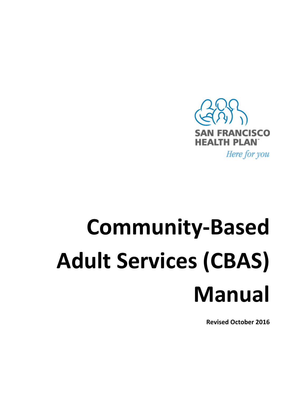

# **Community‐Based Adult Services (CBAS) Manual**

**Revised October <sup>2016</sup>**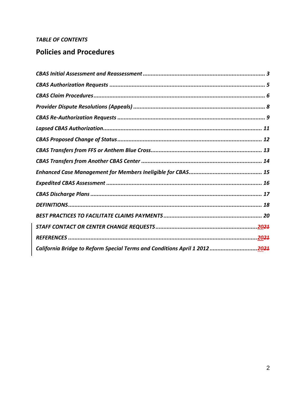### **TABLE OF CONTENTS**

## **Policies and Procedures**

| California Bridge to Reform Special Terms and Conditions April 1 20122021 |
|---------------------------------------------------------------------------|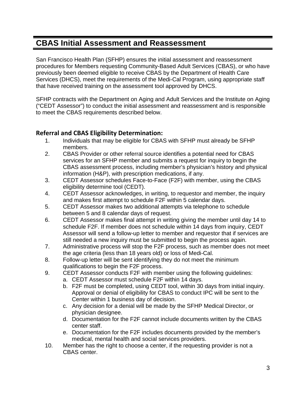## **CBAS Initial Assessment and Reassessment**

San Francisco Health Plan (SFHP) ensures the initial assessment and reassessment procedures for Members requesting Community-Based Adult Services (CBAS), or who have previously been deemed eligible to receive CBAS by the Department of Health Care Services (DHCS), meet the requirements of the Medi-Cal Program, using appropriate staff that have received training on the assessment tool approved by DHCS.

SFHP contracts with the Department on Aging and Adult Services and the Institute on Aging ("CEDT Assessor") to conduct the initial assessment and reassessment and is responsible to meet the CBAS requirements described below.

### **Referral and CBAS Eligibility Determination:**

- 1. Individuals that may be eligible for CBAS with SFHP must already be SFHP members.
- 2. CBAS Provider or other referral source identifies a potential need for CBAS services for an SFHP member and submits a request for inquiry to begin the CBAS assessment process, including member's physician's history and physical information (H&P), with prescription medications, if any.
- 3. CEDT Assessor schedules Face-to-Face (F2F) with member, using the CBAS eligibility determine tool (CEDT).
- 4. CEDT Assessor acknowledges, in writing, to requestor and member, the inquiry and makes first attempt to schedule F2F within 5 calendar days.
- 5. CEDT Assessor makes two additional attempts via telephone to schedule between 5 and 8 calendar days of request.
- 6. CEDT Assessor makes final attempt in writing giving the member until day 14 to schedule F2F. If member does not schedule within 14 days from inquiry, CEDT Assessor will send a follow-up letter to member and requestor that if services are still needed a new inquiry must be submitted to begin the process again.
- 7. Administrative process will stop the F2F process, such as member does not meet the age criteria (less than 18 years old) or loss of Medi-Cal.
- 8. Follow-up letter will be sent identifying they do not meet the minimum qualifications to begin the F2F process.
- 9. CEDT Assessor conducts F2F with member using the following guidelines:
	- a. CEDT Assessor must schedule F2F within 14 days.
	- b. F2F must be completed, using CEDT tool, within 30 days from initial inquiry. Approval or denial of eligibility for CBAS to conduct IPC will be sent to the Center within 1 business day of decision.
	- c. Any decision for a denial will be made by the SFHP Medical Director, or physician designee.
	- d. Documentation for the F2F cannot include documents written by the CBAS center staff.
	- e. Documentation for the F2F includes documents provided by the member's medical, mental health and social services providers.
- 10. Member has the right to choose a center, if the requesting provider is not a CBAS center.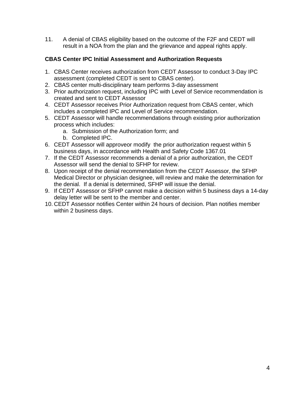11. A denial of CBAS eligibility based on the outcome of the F2F and CEDT will result in a NOA from the plan and the grievance and appeal rights apply.

#### **CBAS Center IPC Initial Assessment and Authorization Requests**

- 1. CBAS Center receives authorization from CEDT Assessor to conduct 3-Day IPC assessment (completed CEDT is sent to CBAS center).
- 2. CBAS center multi-disciplinary team performs 3-day assessment
- 3. Prior authorization request, including IPC with Level of Service recommendation is created and sent to CEDT Assessor
- 4. CEDT Assessor receives Prior Authorization request from CBAS center, which includes a completed IPC and Level of Service recommendation.
- 5. CEDT Assessor will handle recommendations through existing prior authorization process which includes:
	- a. Submission of the Authorization form; and
	- b. Completed IPC.
- 6. CEDT Assessor will approveor modify the prior authorization request within 5 business days, in accordance with Health and Safety Code 1367.01
- 7. If the CEDT Assessor recommends a denial of a prior authorization, the CEDT Assessor will send the denial to SFHP for review.
- 8. Upon receipt of the denial recommendation from the CEDT Assessor, the SFHP Medical Director or physician designee, will review and make the determination for the denial. If a denial is determined, SFHP will issue the denial.
- 9. If CEDT Assessor or SFHP cannot make a decision within 5 business days a 14-day delay letter will be sent to the member and center.
- 10. CEDT Assessor notifies Center within 24 hours of decision. Plan notifies member within 2 business days.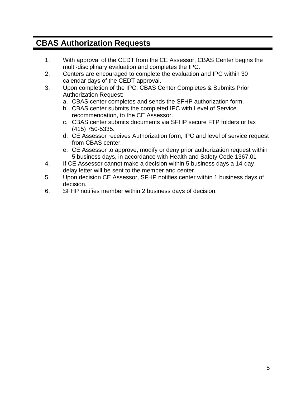# **CBAS Authorization Requests**

- 1. With approval of the CEDT from the CE Assessor, CBAS Center begins the multi-disciplinary evaluation and completes the IPC.
- 2. Centers are encouraged to complete the evaluation and IPC within 30 calendar days of the CEDT approval.
- 3. Upon completion of the IPC, CBAS Center Completes & Submits Prior Authorization Request:
	- a. CBAS center completes and sends the SFHP authorization form.
	- b. CBAS center submits the completed IPC with Level of Service recommendation, to the CE Assessor.
	- c. CBAS center submits documents via SFHP secure FTP folders or fax (415) 750-5335.
	- d. CE Assessor receives Authorization form, IPC and level of service request from CBAS center.
	- e. CE Assessor to approve, modify or deny prior authorization request within 5 business days, in accordance with Health and Safety Code 1367.01
- 4. If CE Assessor cannot make a decision within 5 business days a 14-day delay letter will be sent to the member and center.
- 5. Upon decision CE Assessor, SFHP notifies center within 1 business days of decision.
- 6. SFHP notifies member within 2 business days of decision.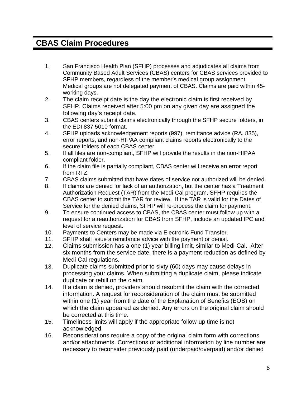## **CBAS Claim Procedures**

- 1. San Francisco Health Plan (SFHP) processes and adjudicates all claims from Community Based Adult Services (CBAS) centers for CBAS services provided to SFHP members, regardless of the member's medical group assignment. Medical groups are not delegated payment of CBAS. Claims are paid within 45 working days.
- 2. The claim receipt date is the day the electronic claim is first received by SFHP. Claims received after 5:00 pm on any given day are assigned the following day's receipt date.
- 3. CBAS centers submit claims electronically through the SFHP secure folders, in the EDI 837 5010 format.
- 4. SFHP uploads acknowledgement reports (997), remittance advice (RA, 835), error reports, and non-HIPAA compliant claims reports electronically to the secure folders of each CBAS center.
- 5. If all files are non-compliant, SFHP will provide the results in the non-HIPAA compliant folder.
- 6. If the claim file is partially compliant, CBAS center will receive an error report from RTZ.
- 7. CBAS claims submitted that have dates of service not authorized will be denied.
- 8. If claims are denied for lack of an authorization, but the center has a Treatment Authorization Request (TAR) from the Medi-Cal program, SFHP requires the CBAS center to submit the TAR for review. If the TAR is valid for the Dates of Service for the denied claims, SFHP will re-process the claim for payment.
- 9. To ensure continued access to CBAS, the CBAS center must follow up with a request for a reauthorization for CBAS from SFHP, include an updated IPC and level of service request.
- 10. Payments to Centers may be made via Electronic Fund Transfer.
- 11. SFHP shall issue a remittance advice with the payment or denial.
- 12. Claims submission has a one (1) year billing limit, similar to Medi-Cal. After six months from the service date, there is a payment reduction as defined by Medi-Cal regulations.
- 13. Duplicate claims submitted prior to sixty (60) days may cause delays in processing your claims. When submitting a duplicate claim, please indicate duplicate or rebill on the claim.
- 14. If a claim is denied, providers should resubmit the claim with the corrected information. A request for reconsideration of the claim must be submitted within one (1) year from the date of the Explanation of Benefits (EOB) on which the claim appeared as denied. Any errors on the original claim should be corrected at this time.
- 15. Timeliness limits will apply if the appropriate follow-up time is not acknowledged.
- 16. Reconsiderations require a copy of the original claim form with corrections and/or attachments. Corrections or additional information by line number are necessary to reconsider previously paid (underpaid/overpaid) and/or denied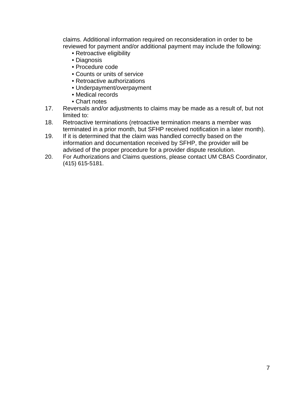claims. Additional information required on reconsideration in order to be reviewed for payment and/or additional payment may include the following:

- Retroactive eligibility
- Diagnosis
- Procedure code
- Counts or units of service
- Retroactive authorizations
- Underpayment/overpayment
- Medical records
- Chart notes
- 17. Reversals and/or adjustments to claims may be made as a result of, but not limited to:
- 18. Retroactive terminations (retroactive termination means a member was terminated in a prior month, but SFHP received notification in a later month).
- 19. If it is determined that the claim was handled correctly based on the information and documentation received by SFHP, the provider will be advised of the proper procedure for a provider dispute resolution.
- 20. For Authorizations and Claims questions, please contact UM CBAS Coordinator, (415) 615-5181.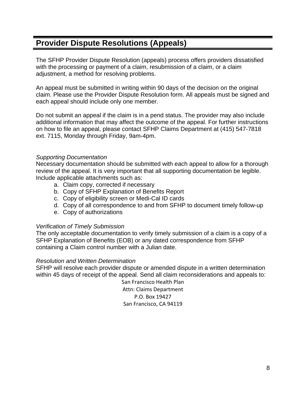# **Provider Dispute Resolutions (Appeals)**

The SFHP Provider Dispute Resolution (appeals) process offers providers dissatisfied with the processing or payment of a claim, resubmission of a claim, or a claim adjustment, a method for resolving problems.

An appeal must be submitted in writing within 90 days of the decision on the original claim. Please use the Provider Dispute Resolution form. All appeals must be signed and each appeal should include only one member.

Do not submit an appeal if the claim is in a pend status. The provider may also include additional information that may affect the outcome of the appeal. For further instructions on how to file an appeal, please contact SFHP Claims Department at (415) 547-7818 ext. 7115, Monday through Friday, 9am-4pm.

#### *Supporting Documentation*

Necessary documentation should be submitted with each appeal to allow for a thorough review of the appeal. It is very important that all supporting documentation be legible. Include applicable attachments such as:

- a. Claim copy, corrected if necessary
- b. Copy of SFHP Explanation of Benefits Report
- c. Copy of eligibility screen or Medi-Cal ID cards
- d. Copy of all correspondence to and from SFHP to document timely follow-up
- e. Copy of authorizations

#### *Verification of Timely Submission*

The only acceptable documentation to verify timely submission of a claim is a copy of a SFHP Explanation of Benefits (EOB) or any dated correspondence from SFHP containing a Claim control number with a Julian date.

#### *Resolution and Written Determination*

SFHP will resolve each provider dispute or amended dispute in a written determination within 45 days of receipt of the appeal. Send all claim reconsiderations and appeals to:

> San Francisco Health Plan Attn: Claims Department P.O. Box 19427 San Francisco, CA 94119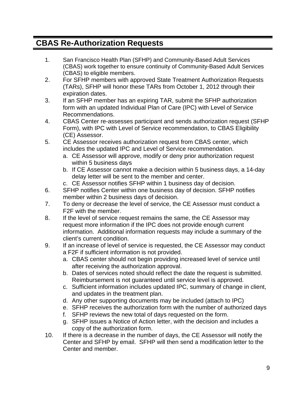## **CBAS Re-Authorization Requests**

- 1. San Francisco Health Plan (SFHP) and Community-Based Adult Services (CBAS) work together to ensure continuity of Community-Based Adult Services (CBAS) to eligible members.
- 2. For SFHP members with approved State Treatment Authorization Requests (TARs), SFHP will honor these TARs from October 1, 2012 through their expiration dates.
- 3. If an SFHP member has an expiring TAR, submit the SFHP authorization form with an updated Individual Plan of Care (IPC) with Level of Service Recommendations.
- 4. CBAS Center re-assesses participant and sends authorization request (SFHP Form), with IPC with Level of Service recommendation, to CBAS Eligibility (CE) Assessor.
- 5. CE Assessor receives authorization request from CBAS center, which includes the updated IPC and Level of Service recommendation.
	- a. CE Assessor will approve, modify or deny prior authorization request within 5 business days
	- b. If CE Assessor cannot make a decision within 5 business days, a 14-day delay letter will be sent to the member and center.
	- c. CE Assessor notifies SFHP within 1 business day of decision.
- 6. SFHP notifies Center within one business day of decision. SFHP notifies member within 2 business days of decision.
- 7. To deny or decrease the level of service, the CE Assessor must conduct a F2F with the member.
- 8. If the level of service request remains the same, the CE Assessor may request more information if the IPC does not provide enough current information. Additional information requests may include a summary of the client's current condition.
- 9. If an increase of level of service is requested, the CE Assessor may conduct a F2F if sufficient information is not provided.
	- a. CBAS center should not begin providing increased level of service until after receiving the authorization approval.
	- b. Dates of services noted should reflect the date the request is submitted. Reimbursement is not guaranteed until service level is approved.
	- c. Sufficient information includes updated IPC, summary of change in client, and updates in the treatment plan.
	- d. Any other supporting documents may be included (attach to IPC)
	- e. SFHP receives the authorization form with the number of authorized days
	- f. SFHP reviews the new total of days requested on the form.
	- g. SFHP issues a Notice of Action letter, with the decision and includes a copy of the authorization form.
- 10. If there is a decrease in the number of days, the CE Assessor will notify the Center and SFHP by email. SFHP will then send a modification letter to the Center and member.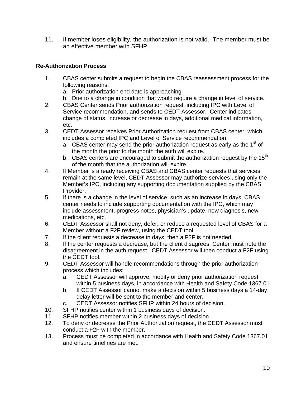11. If member loses eligibility, the authorization is not valid. The member must be an effective member with SFHP.

#### **Re-Authorization Process**

- 1. CBAS center submits a request to begin the CBAS reassessment process for the following reasons:
	- a. Prior authorization end date is approaching
	- b. Due to a change in condition that would require a change in level of service.
- 2. CBAS Center sends Prior authorization request, including IPC with Level of Service recommendation, and sends to CEDT Assessor. Center indicates change of status, increase or decrease in days, additional medical information, etc.
- 3. CEDT Assessor receives Prior Authorization request from CBAS center, which includes a completed IPC and Level of Service recommendation.
	- a. CBAS center may send the prior authorization request as early as the  $1<sup>st</sup>$  of the month the prior to the month the auth will expire.
	- b. CBAS centers are encouraged to submit the authorization request by the 15<sup>th</sup> of the month that the authorization will expire.
- 4. If Member is already receiving CBAS and CBAS center requests that services remain at the same level, CEDT Assessor may authorize services using only the Member's IPC, including any supporting documentation supplied by the CBAS Provider.
- 5. If there is a change in the level of service, such as an increase in days, CBAS center needs to include supporting documentation with the IPC, which may include assessment, progress notes, physician's update, new diagnosis, new medications, etc.
- 6. CEDT Assessor shall not deny, defer**,** or reduce a requested level of CBAS for a Member without a F2F review, using the CEDT tool.
- 7. If the client requests a decrease in days, then a F2F is not needed.
- 8. If the center requests a decrease, but the client disagrees, Center must note the disagreement in the auth request. CEDT Assessor will then conduct a F2F using the CEDT tool.
- 9. CEDT Assessor will handle recommendations through the prior authorization process which includes:
	- a. CEDT Assessor will approve, modify or deny prior authorization request within 5 business days, in accordance with Health and Safety Code 1367.01
	- b. If CEDT Assessor cannot make a decision within 5 business days a 14-day delay letter will be sent to the member and center.
	- c. CEDT Assessor notifies SFHP within 24 hours of decision.
- 10. SFHP notifies center within 1 business days of decision.
- 11. SFHP notifies member within 2 business days of decision
- 12. To deny or decrease the Prior Authorization request, the CEDT Assessor must conduct a F2F with the member.
- 13. Process must be completed in accordance with Health and Safety Code 1367.01 and ensure timelines are met.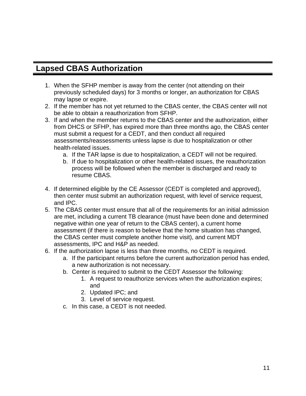## **Lapsed CBAS Authorization**

- 1. When the SFHP member is away from the center (not attending on their previously scheduled days) for 3 months or longer, an authorization for CBAS may lapse or expire.
- 2. If the member has not yet returned to the CBAS center, the CBAS center will not be able to obtain a reauthorization from SFHP.
- 3. If and when the member returns to the CBAS center and the authorization, either from DHCS or SFHP, has expired more than three months ago, the CBAS center must submit a request for a CEDT, and then conduct all required assessments/reassessments unless lapse is due to hospitalization or other health-related issues.
	- a. If the TAR lapse is due to hospitalization, a CEDT will not be required.
	- b. If due to hospitalization or other health-related issues, the reauthorization process will be followed when the member is discharged and ready to resume CBAS.
- 4. If determined eligible by the CE Assessor (CEDT is completed and approved), then center must submit an authorization request, with level of service request, and IPC.
- 5. The CBAS center must ensure that all of the requirements for an initial admission are met, including a current TB clearance (must have been done and determined negative within one year of return to the CBAS center), a current home assessment (if there is reason to believe that the home situation has changed, the CBAS center must complete another home visit), and current MDT assessments, IPC and H&P as needed.
- 6. If the authorization lapse is less than three months, no CEDT is required.
	- a. If the participant returns before the current authorization period has ended, a new authorization is not necessary.
	- b. Center is required to submit to the CEDT Assessor the following:
		- 1. A request to reauthorize services when the authorization expires; and
		- 2. Updated IPC; and
		- 3. Level of service request.
	- c. In this case, a CEDT is not needed.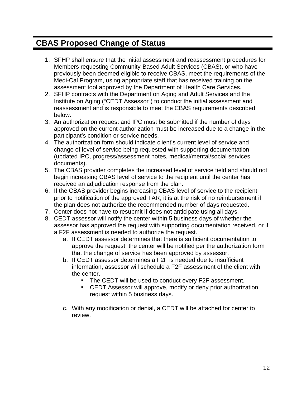## **CBAS Proposed Change of Status**

- 1. SFHP shall ensure that the initial assessment and reassessment procedures for Members requesting Community-Based Adult Services (CBAS), or who have previously been deemed eligible to receive CBAS, meet the requirements of the Medi-Cal Program, using appropriate staff that has received training on the assessment tool approved by the Department of Health Care Services.
- 2. SFHP contracts with the Department on Aging and Adult Services and the Institute on Aging ("CEDT Assessor") to conduct the initial assessment and reassessment and is responsible to meet the CBAS requirements described below.
- 3. An authorization request and IPC must be submitted if the number of days approved on the current authorization must be increased due to a change in the participant's condition or service needs.
- 4. The authorization form should indicate client's current level of service and change of level of service being requested with supporting documentation (updated IPC, progress/assessment notes, medical/mental/social services documents).
- 5. The CBAS provider completes the increased level of service field and should not begin increasing CBAS level of service to the recipient until the center has received an adjudication response from the plan.
- 6. If the CBAS provider begins increasing CBAS level of service to the recipient prior to notification of the approved TAR, it is at the risk of no reimbursement if the plan does not authorize the recommended number of days requested.
- 7. Center does not have to resubmit if does not anticipate using all days.
- 8. CEDT assessor will notify the center within 5 business days of whether the assessor has approved the request with supporting documentation received, or if a F2F assessment is needed to authorize the request.
	- a. If CEDT assessor determines that there is sufficient documentation to approve the request, the center will be notified per the authorization form that the change of service has been approved by assessor.
	- b. If CEDT assessor determines a F2F is needed due to insufficient information, assessor will schedule a F2F assessment of the client with the center.
		- The CEDT will be used to conduct every F2F assessment.
		- CEDT Assessor will approve, modify or deny prior authorization request within 5 business days.
	- c. With any modification or denial, a CEDT will be attached for center to review.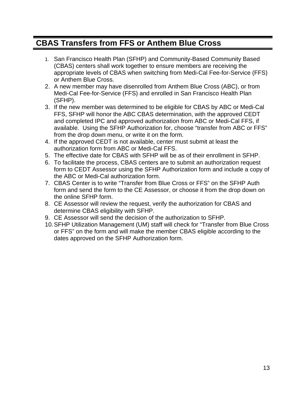## **CBAS Transfers from FFS or Anthem Blue Cross**

- 1. San Francisco Health Plan (SFHP) and Community-Based Community Based (CBAS) centers shall work together to ensure members are receiving the appropriate levels of CBAS when switching from Medi-Cal Fee-for-Service (FFS) or Anthem Blue Cross.
- 2. A new member may have disenrolled from Anthem Blue Cross (ABC), or from Medi-Cal Fee-for-Service (FFS) and enrolled in San Francisco Health Plan (SFHP).
- 3. If the new member was determined to be eligible for CBAS by ABC or Medi-Cal FFS, SFHP will honor the ABC CBAS determination, with the approved CEDT and completed IPC and approved authorization from ABC or Medi-Cal FFS, if available. Using the SFHP Authorization for, choose "transfer from ABC or FFS" from the drop down menu, or write it on the form.
- 4. If the approved CEDT is not available, center must submit at least the authorization form from ABC or Medi-Cal FFS.
- 5. The effective date for CBAS with SFHP will be as of their enrollment in SFHP.
- 6. To facilitate the process, CBAS centers are to submit an authorization request form to CEDT Assessor using the SFHP Authorization form and include a copy of the ABC or Medi-Cal authorization form.
- 7. CBAS Center is to write "Transfer from Blue Cross or FFS" on the SFHP Auth form and send the form to the CE Assessor, or choose it from the drop down on the online SFHP form.
- 8. CE Assessor will review the request, verify the authorization for CBAS and determine CBAS eligibility with SFHP.
- 9. CE Assessor will send the decision of the authorization to SFHP.
- 10. SFHP Utilization Management (UM) staff will check for "Transfer from Blue Cross or FFS" on the form and will make the member CBAS eligible according to the dates approved on the SFHP Authorization form.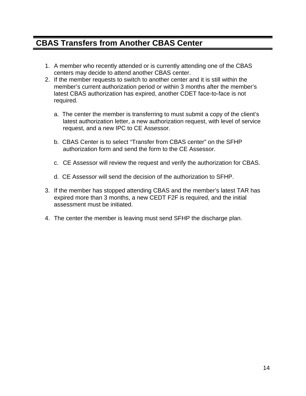## **CBAS Transfers from Another CBAS Center**

- 1. A member who recently attended or is currently attending one of the CBAS centers may decide to attend another CBAS center.
- 2. If the member requests to switch to another center and it is still within the member's current authorization period or within 3 months after the member's latest CBAS authorization has expired, another CDET face-to-face is not required.
	- a. The center the member is transferring to must submit a copy of the client's latest authorization letter, a new authorization request, with level of service request, and a new IPC to CE Assessor.
	- b. CBAS Center is to select "Transfer from CBAS center" on the SFHP authorization form and send the form to the CE Assessor.
	- c. CE Assessor will review the request and verify the authorization for CBAS.
	- d. CE Assessor will send the decision of the authorization to SFHP.
- 3. If the member has stopped attending CBAS and the member's latest TAR has expired more than 3 months, a new CEDT F2F is required, and the initial assessment must be initiated.
- 4. The center the member is leaving must send SFHP the discharge plan.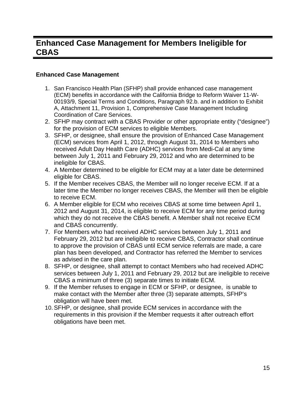## **Enhanced Case Management for Members Ineligible for CBAS**

#### **Enhanced Case Management**

- 1. San Francisco Health Plan (SFHP) shall provide enhanced case management (ECM) benefits in accordance with the California Bridge to Reform Waiver 11-W-00193/9, Special Terms and Conditions, Paragraph 92.b. and in addition to Exhibit A, Attachment 11, Provision 1, Comprehensive Case Management Including Coordination of Care Services.
- 2. SFHP may contract with a CBAS Provider or other appropriate entity ("designee") for the provision of ECM services to eligible Members.
- 3. SFHP, or designee, shall ensure the provision of Enhanced Case Management (ECM) services from April 1, 2012, through August 31, 2014 to Members who received Adult Day Health Care (ADHC) services from Medi-Cal at any time between July 1, 2011 and February 29, 2012 and who are determined to be ineligible for CBAS.
- 4. A Member determined to be eligible for ECM may at a later date be determined eligible for CBAS.
- 5. If the Member receives CBAS, the Member will no longer receive ECM. If at a later time the Member no longer receives CBAS, the Member will then be eligible to receive ECM.
- 6. A Member eligible for ECM who receives CBAS at some time between April 1, 2012 and August 31, 2014, is eligible to receive ECM for any time period during which they do not receive the CBAS benefit. A Member shall not receive ECM and CBAS concurrently.
- 7. For Members who had received ADHC services between July 1, 2011 and February 29, 2012 but are ineligible to receive CBAS, Contractor shall continue to approve the provision of CBAS until ECM service referrals are made, a care plan has been developed, and Contractor has referred the Member to services as advised in the care plan.
- 8. SFHP, or designee, shall attempt to contact Members who had received ADHC services between July 1, 2011 and February 29, 2012 but are ineligible to receive CBAS a minimum of three (3) separate times to initiate ECM.
- 9. If the Member refuses to engage in ECM or SFHP, or designee, is unable to make contact with the Member after three (3) separate attempts, SFHP's obligation will have been met.
- 10. SFHP, or designee, shall provide ECM services in accordance with the requirements in this provision if the Member requests it after outreach effort obligations have been met.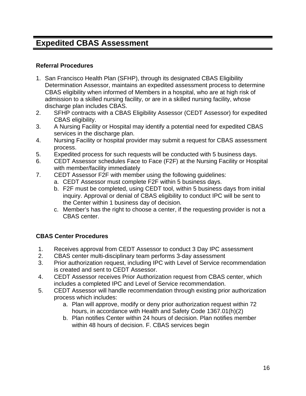## **Expedited CBAS Assessment**

#### **Referral Procedures**

- 1. San Francisco Health Plan (SFHP), through its designated CBAS Eligibility Determination Assessor, maintains an expedited assessment process to determine CBAS eligibility when informed of Members in a hospital, who are at high risk of admission to a skilled nursing facility, or are in a skilled nursing facility, whose discharge plan includes CBAS.
- 2. SFHP contracts with a CBAS Eligibility Assessor (CEDT Assessor) for expedited CBAS eligibility.
- 3. A Nursing Facility or Hospital may identify a potential need for expedited CBAS services in the discharge plan.
- 4. Nursing Facility or hospital provider may submit a request for CBAS assessment process.
- 5. Expedited process for such requests will be conducted with 5 business days.
- 6. CEDT Assessor schedules Face to Face (F2F) at the Nursing Facility or Hospital with member/facility immediately
- 7. CEDT Assessor F2F with member using the following guidelines:
	- a. CEDT Assessor must complete F2F within 5 business days.
	- b. F2F must be completed, using CEDT tool, within 5 business days from initial inquiry. Approval or denial of CBAS eligibility to conduct IPC will be sent to the Center within 1 business day of decision.
	- c. Member's has the right to choose a center, if the requesting provider is not a CBAS center.

## **CBAS Center Procedures**

- 1. Receives approval from CEDT Assessor to conduct 3 Day IPC assessment
- 2. CBAS center multi-disciplinary team performs 3-day assessment
- 3. Prior authorization request, including IPC with Level of Service recommendation is created and sent to CEDT Assessor.
- 4. CEDT Assessor receives Prior Authorization request from CBAS center, which includes a completed IPC and Level of Service recommendation.
- 5. CEDT Assessor will handle recommendation through existing prior authorization process which includes:
	- a. Plan will approve, modify or deny prior authorization request within 72 hours, in accordance with Health and Safety Code 1367.01(h)(2)
	- b. Plan notifies Center within 24 hours of decision. Plan notifies member within 48 hours of decision. F. CBAS services begin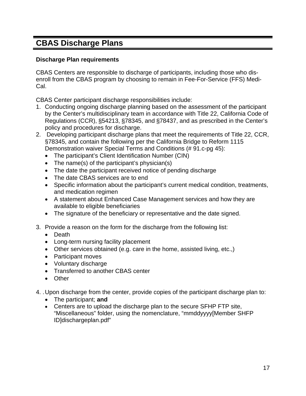# **CBAS Discharge Plans**

#### **Discharge Plan requirements**

CBAS Centers are responsible to discharge of participants, including those who disenroll from the CBAS program by choosing to remain in Fee-For-Service (FFS) Medi-Cal.

CBAS Center participant discharge responsibilities include:

- 1. Conducting ongoing discharge planning based on the assessment of the participant by the Center's multidisciplinary team in accordance with Title 22, California Code of Regulations (CCR), §54213, §78345, and §78437, and as prescribed in the Center's policy and procedures for discharge.
- 2. Developing participant discharge plans that meet the requirements of Title 22, CCR, §78345, and contain the following per the California Bridge to Reform 1115 Demonstration waiver Special Terms and Conditions (# 91.c-pg 45):
	- The participant's Client Identification Number (CIN)
	- The name(s) of the participant's physician(s)
	- The date the participant received notice of pending discharge
	- The date CBAS services are to end
	- Specific information about the participant's current medical condition, treatments, and medication regimen
	- A statement about Enhanced Case Management services and how they are available to eligible beneficiaries
	- The signature of the beneficiary or representative and the date signed.
- 3. Provide a reason on the form for the discharge from the following list:
	- Death
	- Long-term nursing facility placement
	- Other services obtained (e.g. care in the home, assisted living, etc.,)
	- Participant moves
	- Voluntary discharge
	- Transferred to another CBAS center
	- Other
- 4. . Upon discharge from the center, provide copies of the participant discharge plan to:
	- The participant; **and**
	- Centers are to upload the discharge plan to the secure SFHP FTP site, "Miscellaneous" folder, using the nomenclature, "mmddyyyy[Member SHFP ID]dischargeplan.pdf"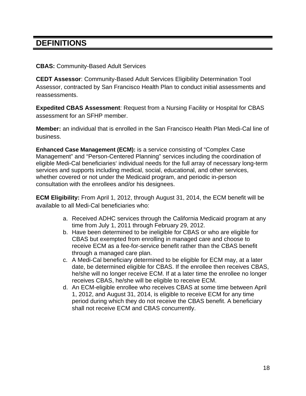# **DEFINITIONS**

#### **CBAS:** Community-Based Adult Services

**CEDT Assessor**: Community-Based Adult Services Eligibility Determination Tool Assessor, contracted by San Francisco Health Plan to conduct initial assessments and reassessments.

**Expedited CBAS Assessment**: Request from a Nursing Facility or Hospital for CBAS assessment for an SFHP member.

**Member:** an individual that is enrolled in the San Francisco Health Plan Medi-Cal line of business.

**Enhanced Case Management (ECM):** is a service consisting of "Complex Case Management" and "Person-Centered Planning" services including the coordination of eligible Medi-Cal beneficiaries' individual needs for the full array of necessary long-term services and supports including medical, social, educational, and other services, whether covered or not under the Medicaid program, and periodic in-person consultation with the enrollees and/or his designees.

**ECM Eligibility:** From April 1, 2012, through August 31, 2014, the ECM benefit will be available to all Medi-Cal beneficiaries who:

- a. Received ADHC services through the California Medicaid program at any time from July 1, 2011 through February 29, 2012.
- b. Have been determined to be ineligible for CBAS or who are eligible for CBAS but exempted from enrolling in managed care and choose to receive ECM as a fee-for-service benefit rather than the CBAS benefit through a managed care plan.
- c. A Medi-Cal beneficiary determined to be eligible for ECM may, at a later date, be determined eligible for CBAS. If the enrollee then receives CBAS, he/she will no longer receive ECM. If at a later time the enrollee no longer receives CBAS, he/she will be eligible to receive ECM.
- d. An ECM-eligible enrollee who receives CBAS at some time between April 1, 2012, and August 31, 2014, is eligible to receive ECM for any time period during which they do not receive the CBAS benefit. A beneficiary shall not receive ECM and CBAS concurrently.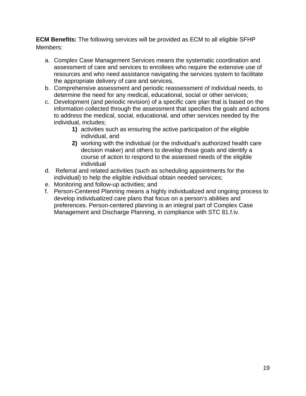**ECM Benefits:** The following services will be provided as ECM to all eligible SFHP Members:

- a. Complex Case Management Services means the systematic coordination and assessment of care and services to enrollees who require the extensive use of resources and who need assistance navigating the services system to facilitate the appropriate delivery of care and services,
- b. Comprehensive assessment and periodic reassessment of individual needs, to determine the need for any medical, educational, social or other services;
- c. Development (and periodic revision) of a specific care plan that is based on the information collected through the assessment that specifies the goals and actions to address the medical, social, educational, and other services needed by the individual, includes;
	- **1)** activities such as ensuring the active participation of the eligible individual, and
	- **2)** working with the individual (or the individual's authorized health care decision maker) and others to develop those goals and identify a course of action to respond to the assessed needs of the eligible individual
- d. Referral and related activities (such as scheduling appointments for the individual) to help the eligible individual obtain needed services;
- e. Monitoring and follow-up activities; and
- f. Person-Centered Planning means a highly individualized and ongoing process to develop individualized care plans that focus on a person's abilities and preferences. Person-centered planning is an integral part of Complex Case Management and Discharge Planning, in compliance with STC 81.f.iv.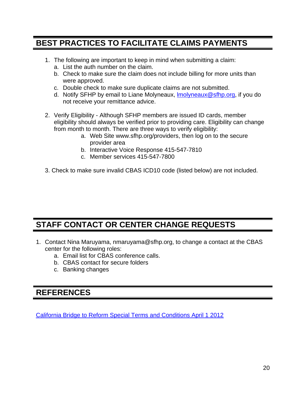# **BEST PRACTICES TO FACILITATE CLAIMS PAYMENTS**

- 1. The following are important to keep in mind when submitting a claim:
	- a. List the auth number on the claim.
	- b. Check to make sure the claim does not include billing for more units than were approved.
	- c. Double check to make sure duplicate claims are not submitted.
	- d. Notify SFHP by email to Liane Molyneaux, lmolyneaux@sfhp.org, if you do not receive your remittance advice.
- 2. Verify Eligibility Although SFHP members are issued ID cards, member eligibility should always be verified prior to providing care. Eligibility can change from month to month. There are three ways to verify eligibility:
	- a. Web Site www.sfhp.org/providers, then log on to the secure provider area
	- b. Interactive Voice Response 415-547-7810
	- c. Member services 415-547-7800
- 3. Check to make sure invalid CBAS ICD10 code (listed below) are not included.

# **STAFF CONTACT OR CENTER CHANGE REQUESTS**

- 1. Contact Nina Maruyama, nmaruyama@sfhp.org, to change a contact at the CBAS center for the following roles:
	- a. Email list for CBAS conference calls.
	- b. CBAS contact for secure folders
	- c. Banking changes

## **REFERENCES**

California Bridge to Reform Special Terms and Conditions April 1 2012